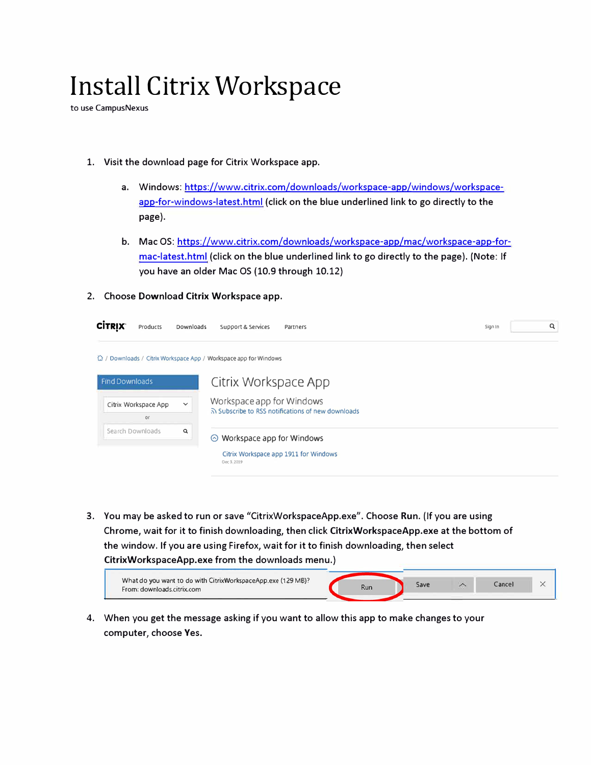## **Install Citrix Workspace**

to use CampusNexus

- **1. Visit the download page for Citrix Workspace app.**
	- **a. Windows: https://www.citrix.com/downloads/workspace-app/windows/workspaceapp-for-windows-latest.html (click on the blue underlined link to go directly to the page).**
	- **b. Mac OS: https://www.citrix.com/downloads/workspace-app/mac/workspace-app-formac-latest.html (click on the blue underlined link to go directly to the page). (Note: If you have an older Mac OS (10.9 through 10.12)**
- **2. Choose Download Citrix Workspace app.**

| <b>CITRIX</b><br>Products    | Downloads    | Support & Services<br>Partners                                                      | Q<br>Sign In |
|------------------------------|--------------|-------------------------------------------------------------------------------------|--------------|
|                              |              | ta / Downloads / Citrix Workspace App / Workspace app for Windows                   |              |
| <b>Find Downloads</b>        |              | Citrix Workspace App                                                                |              |
| Citrix Workspace App<br>O(f) | $\checkmark$ | Workspace app for Windows<br>a) Subscribe to RSS notifications of new downloads     |              |
| Search Downloads             | Q            | ⊙ Workspace app for Windows<br>Citrix Workspace app 1911 for Windows<br>Dec 3, 2019 |              |

**3. You may be asked to run or save "CitrixWorkspaceApp.exe". Choose Run. {If you are using Chrome, wait for it to finish downloading, then click CitrixWorkspaceApp.exe at the bottom of the window. If you are using Firefox, wait for it to finish downloading, then select CitrixWorkspaceApp.exe from the downloads menu.)**



**4. When you get the message asking if you want to allow this app to make changes to your computer, choose Yes.**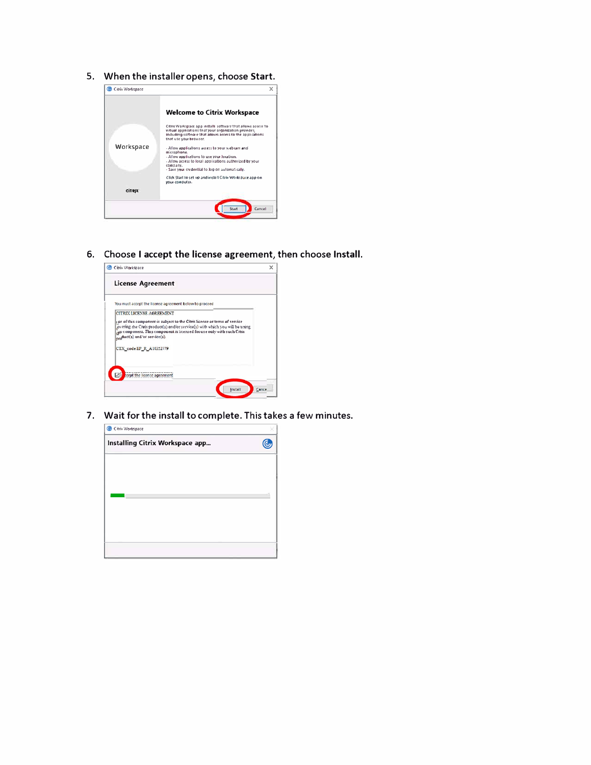5. When the installer opens, choose Start.



6. Choose I accept the license agreement, then choose Install.



7. Wait for the install to complete. This takes a few minutes.